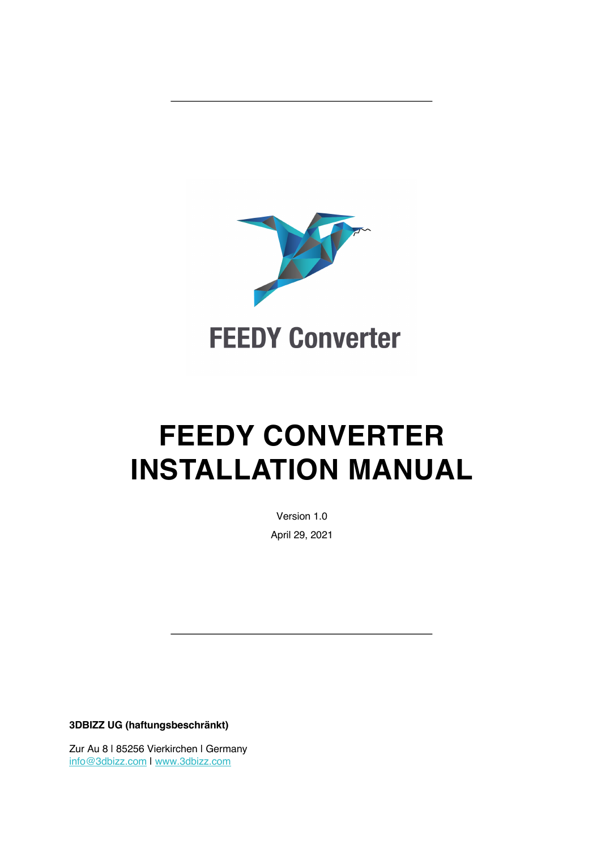

## **FEEDY CONVERTER INSTALLATION MANUAL**

Version 1.0 April 29, 2021

**3DBIZZ UG (haftungsbeschränkt)**

Zur Au 8 | 85256 Vierkirchen | Germany info@3dbizz.com | www.3dbizz.com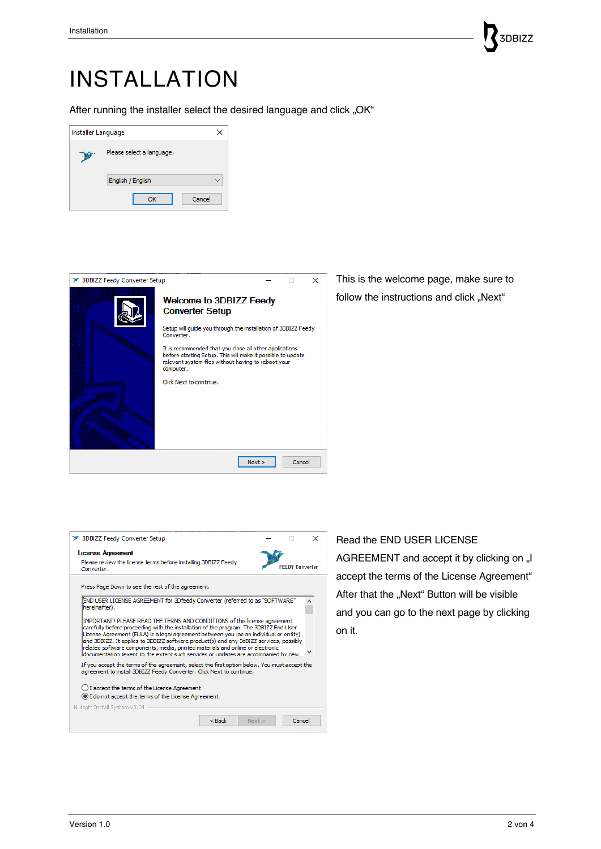## 3DBIZZ

## INSTALLATION

After running the installer select the desired language and click "OK"

| Installer Language |                           | ×      |
|--------------------|---------------------------|--------|
| ×.                 | Please select a language. |        |
|                    | English / English         |        |
|                    | OK                        | Cancel |



This is the welcome page, make sure to follow the instructions and click "Next"

| > 3DBIZZ Feedy Converter Setup                                                                                                                                                                                                                                                                                                                                                                                                                                                                                                 |  |                        | × |  |  |  |
|--------------------------------------------------------------------------------------------------------------------------------------------------------------------------------------------------------------------------------------------------------------------------------------------------------------------------------------------------------------------------------------------------------------------------------------------------------------------------------------------------------------------------------|--|------------------------|---|--|--|--|
| License Agreement<br>Please review the license terms before installing 3DBIZZ Feedy<br>Converter.                                                                                                                                                                                                                                                                                                                                                                                                                              |  | <b>FEEDY Converter</b> |   |  |  |  |
| Press Page Down to see the rest of the agreement.                                                                                                                                                                                                                                                                                                                                                                                                                                                                              |  |                        |   |  |  |  |
| END USER LICENSE AGREEMENT for 3Dfeedy Converter (referred to as "SOFTWARE"<br>hereinafter).                                                                                                                                                                                                                                                                                                                                                                                                                                   |  |                        |   |  |  |  |
| IMPORTANT! PLEASE READ THE TERMS AND CONDITIONS of this license agreement<br>carefully before proceeding with the installation of the program. The 3DBIZZ End-User<br>License Agreement (EULA) is a legal agreement between you (as an individual or entity)<br>and 3DBIZZ. It applies to 3DBIZZ software product(s) and any 3dBIZZ services, possibly<br>related software components, media, printed materials and online or electronic<br>documentation (exent to the extent such services or undates are accompanied by new |  |                        |   |  |  |  |
| If you accept the terms of the agreement, select the first option below. You must accept the<br>agreement to install 3DBIZZ Feedy Converter. Click Next to continue.                                                                                                                                                                                                                                                                                                                                                           |  |                        |   |  |  |  |
| $\bigcirc$ I accept the terms of the License Agreement<br>I do not accept the terms of the License Agreement<br>Nullsoft Install System v3.04                                                                                                                                                                                                                                                                                                                                                                                  |  |                        |   |  |  |  |
| $<$ Back<br>Next                                                                                                                                                                                                                                                                                                                                                                                                                                                                                                               |  | Cancel                 |   |  |  |  |

Read the END USER LICENSE AGREEMENT and accept it by clicking on "I accept the terms of the License Agreement" After that the "Next" Button will be visible and you can go to the next page by clicking on it.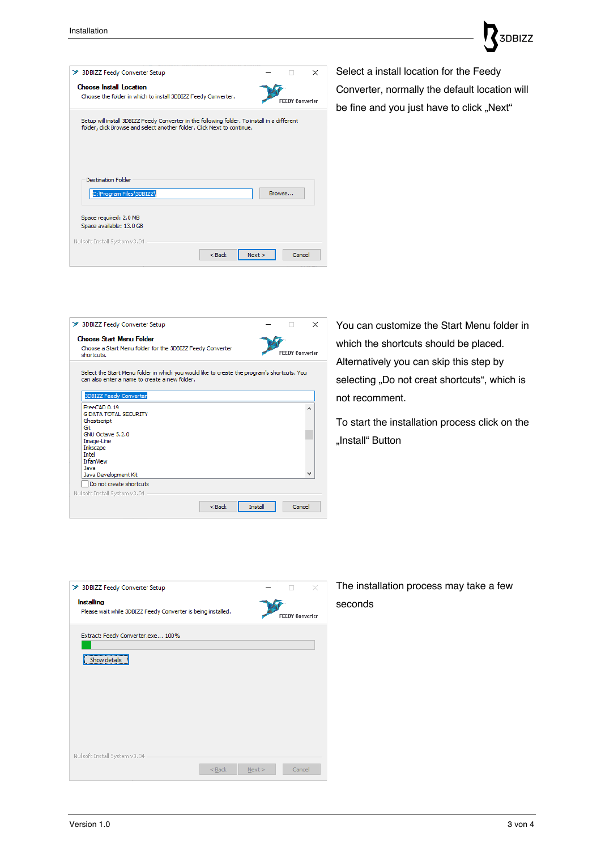| > 3DBIZZ Feedy Converter Setup                                                                                                                                          |                        | × |
|-------------------------------------------------------------------------------------------------------------------------------------------------------------------------|------------------------|---|
| <b>Choose Install Location</b><br>Choose the folder in which to install 3DBIZZ Feedy Converter.                                                                         | <b>FEEDY Converter</b> |   |
| Setup will install 3DBIZZ Feedy Converter in the following folder. To install in a different<br>folder, click Browse and select another folder. Click Next to continue. |                        |   |
|                                                                                                                                                                         |                        |   |
| <b>Destination Folder</b>                                                                                                                                               |                        |   |
| C:\Program Files\3DBIZZ\                                                                                                                                                | Browse                 |   |
| Space required: 2.0 MB<br>Space available: 13.0 GB                                                                                                                      |                        |   |
| Nullsoft Install System v3.04                                                                                                                                           |                        |   |
|                                                                                                                                                                         |                        |   |

**SDBIZZ** 

be fine and you just have to click "Next"

|                                                                                                                                              |                |                        | $\times$ |
|----------------------------------------------------------------------------------------------------------------------------------------------|----------------|------------------------|----------|
| > 3DBIZZ Feedy Converter Setup                                                                                                               |                |                        |          |
| <b>Choose Start Menu Folder</b>                                                                                                              |                |                        |          |
| Choose a Start Menu folder for the 3DBIZZ Feedy Converter<br>shortcuts.                                                                      |                | <b>FEEDY Converter</b> |          |
|                                                                                                                                              |                |                        |          |
| Select the Start Menu folder in which you would like to create the program's shortcuts. You<br>can also enter a name to create a new folder. |                |                        |          |
|                                                                                                                                              |                |                        |          |
| <b>3DBIZZ Feedy Converter</b>                                                                                                                |                |                        |          |
| FreeCAD 0.19                                                                                                                                 |                |                        |          |
| <b>G DATA TOTAL SECURITY</b>                                                                                                                 |                |                        |          |
| Ghostscript                                                                                                                                  |                |                        |          |
| Git<br>GNU Octave 5.2.0                                                                                                                      |                |                        |          |
| Image-Line                                                                                                                                   |                |                        |          |
| Inkscape                                                                                                                                     |                |                        |          |
| <b>Intel</b>                                                                                                                                 |                |                        |          |
| <b>TrfanView</b>                                                                                                                             |                |                        |          |
| <b>lava</b>                                                                                                                                  |                |                        |          |
| Java Development Kit                                                                                                                         |                |                        |          |
| Do not create shortcuts                                                                                                                      |                |                        |          |
| Nullsoft Install System v3.04                                                                                                                |                |                        |          |
|                                                                                                                                              |                |                        |          |
| $<$ Back                                                                                                                                     | <b>Install</b> | Cancel                 |          |

You can customize the Start Menu folder in which the shortcuts should be placed. Alternatively you can skip this step by selecting "Do not creat shortcuts", which is not recomment.

To start the installation process click on the "Install" Button

| > 3DBIZZ Feedy Converter Setup                                             |                        |
|----------------------------------------------------------------------------|------------------------|
| Installing<br>Please wait while 3DBIZZ Feedy Converter is being installed. | <b>FEEDY Converter</b> |
| Extract: Feedy Converter.exe 100%                                          |                        |
| Show details                                                               |                        |
|                                                                            |                        |
|                                                                            |                        |
| Nullsoft Install System v3.04<br>$<$ Back                                  | Cancel<br>Next         |

## The installation process may take a few seconds